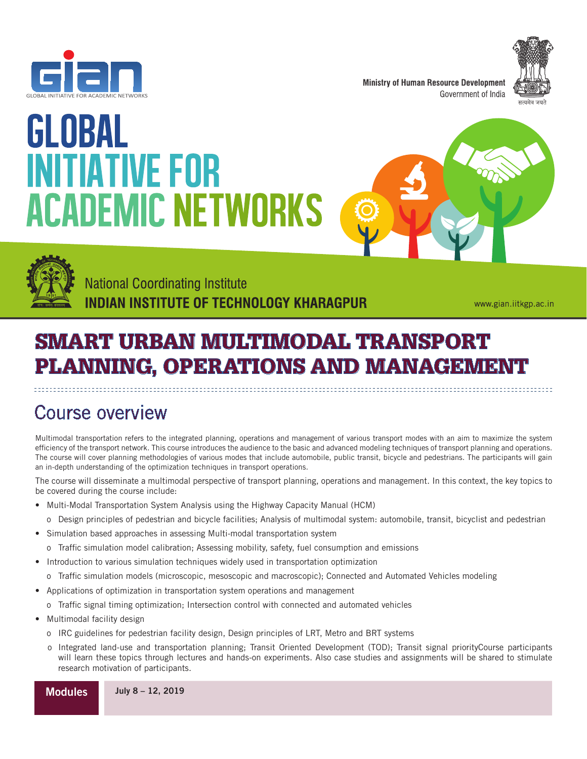



**Ministry of Human Resource Development** Government of India



# GLOBAL **INITIATIVE FOR ACADEMIC NETWORKS**





**National Coordinating Institute** INDIAN INSTITUTE OF TECHNOLOGY KHARAGPUR

www.gian.iitkgp.ac.in

## SMART URBAN MULTIMODAL TRANSPORT PLANNING, OPERATIONS AND MANAGEMENT

### Course overview

Multimodal transportation refers to the integrated planning, operations and management of various transport modes with an aim to maximize the system efficiency of the transport network. This course introduces the audience to the basic and advanced modeling techniques of transport planning and operations. The course will cover planning methodologies of various modes that include automobile, public transit, bicycle and pedestrians. The participants will gain an in-depth understanding of the optimization techniques in transport operations.

The course will disseminate a multimodal perspective of transport planning, operations and management. In this context, the key topics to be covered during the course include:

- Multi-Modal Transportation System Analysis using the Highway Capacity Manual (HCM)
- o Design principles of pedestrian and bicycle facilities; Analysis of multimodal system: automobile, transit, bicyclist and pedestrian
- Simulation based approaches in assessing Multi-modal transportation system
	- o Traffic simulation model calibration; Assessing mobility, safety, fuel consumption and emissions
- Introduction to various simulation techniques widely used in transportation optimization
	- o Traffic simulation models (microscopic, mesoscopic and macroscopic); Connected and Automated Vehicles modeling
- Applications of optimization in transportation system operations and management
	- o Traffic signal timing optimization; Intersection control with connected and automated vehicles
- Multimodal facility design
	- o IRC guidelines for pedestrian facility design, Design principles of LRT, Metro and BRT systems
	- o Integrated land-use and transportation planning; Transit Oriented Development (TOD); Transit signal priorityCourse participants will learn these topics through lectures and hands-on experiments. Also case studies and assignments will be shared to stimulate research motivation of participants.